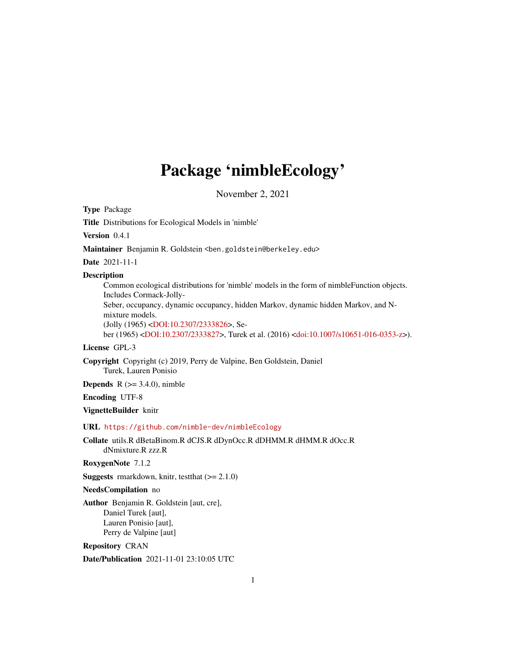# Package 'nimbleEcology'

November 2, 2021

<span id="page-0-0"></span>Type Package

Title Distributions for Ecological Models in 'nimble'

Version 0.4.1

Maintainer Benjamin R. Goldstein <br/>ben.goldstein@berkeley.edu>

Date 2021-11-1

#### Description

Common ecological distributions for 'nimble' models in the form of nimbleFunction objects. Includes Cormack-Jolly-

Seber, occupancy, dynamic occupancy, hidden Markov, dynamic hidden Markov, and Nmixture models.

(Jolly (1965) [<DOI:10.2307/2333826>](https://doi.org/10.2307/2333826), Se-

ber (1965) [<DOI:10.2307/2333827>](https://doi.org/10.2307/2333827), Turek et al. (2016) [<doi:10.1007/s10651-016-0353-z>](https://doi.org/10.1007/s10651-016-0353-z)).

# License GPL-3

Copyright Copyright (c) 2019, Perry de Valpine, Ben Goldstein, Daniel Turek, Lauren Ponisio

**Depends** R  $(>= 3.4.0)$ , nimble

Encoding UTF-8

VignetteBuilder knitr

#### URL <https://github.com/nimble-dev/nimbleEcology>

Collate utils.R dBetaBinom.R dCJS.R dDynOcc.R dDHMM.R dHMM.R dOcc.R dNmixture.R zzz.R

RoxygenNote 7.1.2

**Suggests** rmarkdown, knitr, test that  $(>= 2.1.0)$ 

### NeedsCompilation no

Author Benjamin R. Goldstein [aut, cre], Daniel Turek [aut], Lauren Ponisio [aut], Perry de Valpine [aut]

Repository CRAN

Date/Publication 2021-11-01 23:10:05 UTC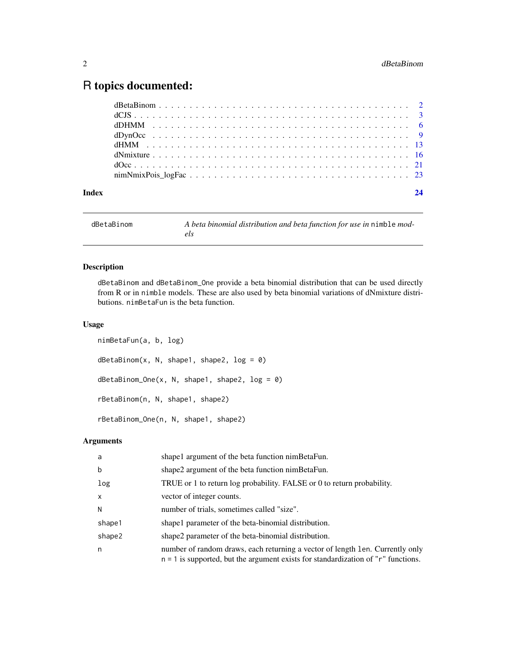# <span id="page-1-0"></span>R topics documented:

dBetaBinom *A beta binomial distribution and beta function for use in* nimble *mod-*

# Description

dBetaBinom and dBetaBinom\_One provide a beta binomial distribution that can be used directly from R or in nimble models. These are also used by beta binomial variations of dNmixture distributions. nimBetaFun is the beta function.

#### Usage

```
nimBetaFun(a, b, log)
dBetaBinom(x, N, shape1, shape2, log = 0)
dBetaBinom_One(x, N, shape1, shape2, log = 0)
rBetaBinom(n, N, shape1, shape2)
rBetaBinom_One(n, N, shape1, shape2)
```
*els*

# Arguments

| a        | shape 1 argument of the beta function nimBetaFun.                                                                                                                        |
|----------|--------------------------------------------------------------------------------------------------------------------------------------------------------------------------|
| b        | shape2 argument of the beta function nimBetaFun.                                                                                                                         |
| log      | TRUE or 1 to return log probability. FALSE or 0 to return probability.                                                                                                   |
| $\times$ | vector of integer counts.                                                                                                                                                |
| N        | number of trials, sometimes called "size".                                                                                                                               |
| shape1   | shape I parameter of the beta-binomial distribution.                                                                                                                     |
| shape2   | shape2 parameter of the beta-binomial distribution.                                                                                                                      |
| n        | number of random draws, each returning a vector of length 1en. Currently only<br>$n = 1$ is supported, but the argument exists for standardization of " $r$ " functions. |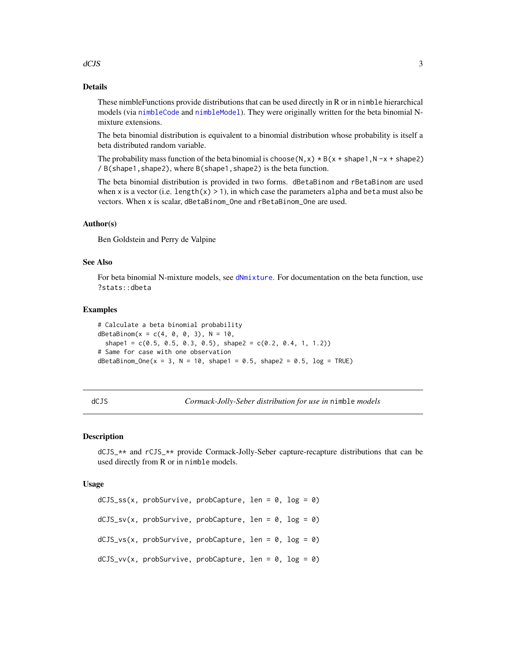#### <span id="page-2-0"></span>dCJS 3

# Details

These nimbleFunctions provide distributions that can be used directly in R or in nimble hierarchical models (via [nimbleCode](#page-0-0) and [nimbleModel](#page-0-0)). They were originally written for the beta binomial Nmixture extensions.

The beta binomial distribution is equivalent to a binomial distribution whose probability is itself a beta distributed random variable.

The probability mass function of the beta binomial is choose  $(N, x) * B(x + shape1, N -x + shape2)$ / B(shape1,shape2), where B(shape1,shape2) is the beta function.

The beta binomial distribution is provided in two forms. dBetaBinom and rBetaBinom are used when x is a vector (i.e. length(x)  $> 1$ ), in which case the parameters alpha and beta must also be vectors. When x is scalar, dBetaBinom\_One and rBetaBinom\_One are used.

#### Author(s)

Ben Goldstein and Perry de Valpine

## See Also

For beta binomial N-mixture models, see [dNmixture](#page-15-1). For documentation on the beta function, use ?stats::dbeta

#### Examples

```
# Calculate a beta binomial probability
dBetaBinom(x = c(4, 0, 0, 3), N = 10,
 shape1 = c(0.5, 0.5, 0.3, 0.5), shape2 = c(0.2, 0.4, 1, 1.2))
# Same for case with one observation
dBetaBinom_One(x = 3, N = 10, shape1 = 0.5, shape2 = 0.5, log = TRUE)
```
<span id="page-2-1"></span>dCJS *Cormack-Jolly-Seber distribution for use in* nimble *models*

#### Description

dCJS\_\*\* and rCJS\_\*\* provide Cormack-Jolly-Seber capture-recapture distributions that can be used directly from R or in nimble models.

#### Usage

 $dCJS\_ss(x, probSource, probCapture, len = 0, log = 0)$  $dCJS_sv(x, probSource, probCapture, len = 0, log = 0)$  $dCJS_vs(x, probSurvive, probCapture, len = 0, log = 0)$  $dCJS_vv(x, probSurvive, probCapture, len = 0, log = 0)$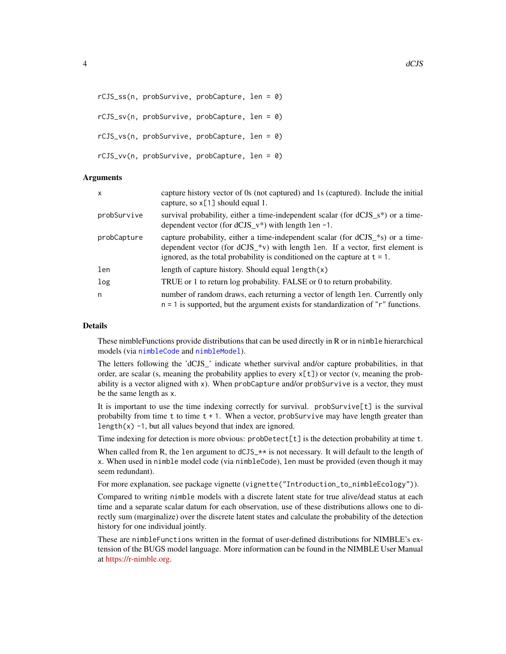<span id="page-3-0"></span>rCJS\_ss(n, probSurvive, probCapture, len = 0) rCJS\_sv(n, probSurvive, probCapture, len = 0) rCJS\_vs(n, probSurvive, probCapture, len = 0) rCJS\_vv(n, probSurvive, probCapture, len = 0)

# Arguments

| x           | capture history vector of 0s (not captured) and 1s (captured). Include the initial<br>capture, so $x[1]$ should equal 1.                                                                                                                                        |
|-------------|-----------------------------------------------------------------------------------------------------------------------------------------------------------------------------------------------------------------------------------------------------------------|
| probSurvive | survival probability, either a time-independent scalar (for $dCJS_s^*$ ) or a time-<br>dependent vector (for $dCJS_v^*$ ) with length 1en -1.                                                                                                                   |
| probCapture | capture probability, either a time-independent scalar (for $dCJS$ <sup>*</sup> s) or a time-<br>dependent vector (for $dCJS$ *v) with length 1en. If a vector, first element is<br>ignored, as the total probability is conditioned on the capture at $t = 1$ . |
| len         | length of capture history. Should equal $length(x)$                                                                                                                                                                                                             |
| log         | TRUE or 1 to return log probability. FALSE or 0 to return probability.                                                                                                                                                                                          |
| n.          | number of random draws, each returning a vector of length len. Currently only<br>$n = 1$ is supported, but the argument exists for standardization of " $r$ " functions.                                                                                        |

#### **Details**

These nimbleFunctions provide distributions that can be used directly in R or in nimble hierarchical models (via [nimbleCode](#page-0-0) and [nimbleModel](#page-0-0)).

The letters following the 'dCJS\_' indicate whether survival and/or capture probabilities, in that order, are scalar (s, meaning the probability applies to every x[t]) or vector (v, meaning the probability is a vector aligned with x). When probCapture and/or probSurvive is a vector, they must be the same length as x.

It is important to use the time indexing correctly for survival. probSurvive[t] is the survival probabilty from time t to time  $t + 1$ . When a vector, probSurvive may have length greater than length $(x)$  -1, but all values beyond that index are ignored.

Time indexing for detection is more obvious:  $probDetect[t]$  is the detection probability at time t.

When called from R, the len argument to  $dCJS$ <sub> $\rightarrow$ \*</sub> is not necessary. It will default to the length of x. When used in nimble model code (via nimbleCode), len must be provided (even though it may seem redundant).

For more explanation, see package vignette (vignette ("Introduction\_to\_nimbleEcology")).

Compared to writing nimble models with a discrete latent state for true alive/dead status at each time and a separate scalar datum for each observation, use of these distributions allows one to directly sum (marginalize) over the discrete latent states and calculate the probability of the detection history for one individual jointly.

These are nimbleFunctions written in the format of user-defined distributions for NIMBLE's extension of the BUGS model language. More information can be found in the NIMBLE User Manual at [https://r-nimble.org.](https://r-nimble.org)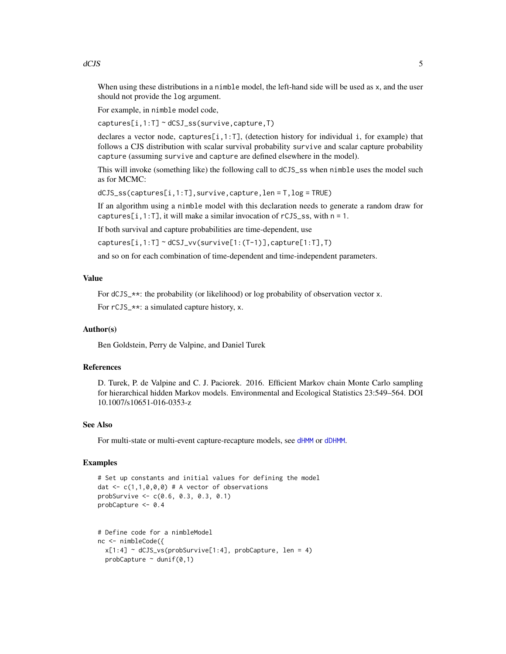<span id="page-4-0"></span>dCJS 5

When using these distributions in a nimble model, the left-hand side will be used as x, and the user should not provide the log argument.

For example, in nimble model code,

captures[i,1:T] ~ dCSJ\_ss(survive,capture,T)

declares a vector node, captures[i,1:T], (detection history for individual i, for example) that follows a CJS distribution with scalar survival probability survive and scalar capture probability capture (assuming survive and capture are defined elsewhere in the model).

This will invoke (something like) the following call to dCJS\_ss when nimble uses the model such as for MCMC:

dCJS\_ss(captures[i,1:T],survive,capture,len = T,log = TRUE)

If an algorithm using a nimble model with this declaration needs to generate a random draw for captures[ $i, 1$ : T], it will make a similar invocation of rCJS\_ss, with  $n = 1$ .

If both survival and capture probabilities are time-dependent, use

captures[i,1:T] ~ dCSJ\_vv(survive[1:(T-1)],capture[1:T],T)

and so on for each combination of time-dependent and time-independent parameters.

#### Value

For dCJS\_\*\*: the probability (or likelihood) or log probability of observation vector x.

For rCJS\_\*\*: a simulated capture history, x.

#### Author(s)

Ben Goldstein, Perry de Valpine, and Daniel Turek

#### References

D. Turek, P. de Valpine and C. J. Paciorek. 2016. Efficient Markov chain Monte Carlo sampling for hierarchical hidden Markov models. Environmental and Ecological Statistics 23:549–564. DOI 10.1007/s10651-016-0353-z

#### See Also

For multi-state or multi-event capture-recapture models, see [dHMM](#page-12-1) or [dDHMM](#page-5-1).

```
# Set up constants and initial values for defining the model
dat <- c(1,1,0,0,0) # A vector of observations
probSurvive <- c(0.6, 0.3, 0.3, 0.1)
probCapture <- 0.4
# Define code for a nimbleModel
nc <- nimbleCode({
 x[1:4] ~ dCJS_vs(probSurvive[1:4], probCapture, len = 4)
 probCapture \sim dunif(0,1)
```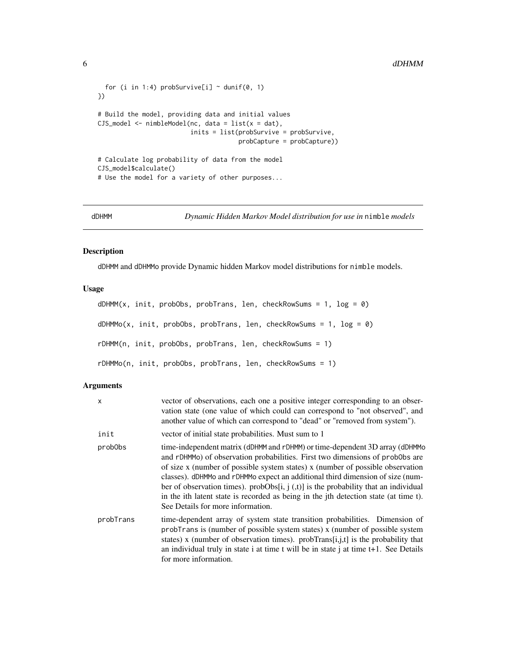```
for (i in 1:4) probSurvive[i] \sim dunif(0, 1)
})
# Build the model, providing data and initial values
CJS_model <- nimbleModel(nc, data = list(x = dat),
                         inits = list(probSurvive = probSurvive,
                                      probCapture = probCapture))
# Calculate log probability of data from the model
CJS_model$calculate()
# Use the model for a variety of other purposes...
```
<span id="page-5-1"></span>dDHMM *Dynamic Hidden Markov Model distribution for use in* nimble *models*

# <span id="page-5-2"></span>Description

dDHMM and dDHMMo provide Dynamic hidden Markov model distributions for nimble models.

#### Usage

```
dDHMM(x, init, probObs, probTrans, len, checkRowsums = 1, log = 0)dDHMMo(x, init, probObs, probTrans, len, checkRowSums = 1, log = 0)
rDHMM(n, init, probObs, probTrans, len, checkRowSums = 1)
rDHMMo(n, init, probObs, probTrans, len, checkRowSums = 1)
```
# Arguments

| X         | vector of observations, each one a positive integer corresponding to an obser-<br>vation state (one value of which could can correspond to "not observed", and<br>another value of which can correspond to "dead" or "removed from system").                                                                                                                                                                                                                                                                                                           |
|-----------|--------------------------------------------------------------------------------------------------------------------------------------------------------------------------------------------------------------------------------------------------------------------------------------------------------------------------------------------------------------------------------------------------------------------------------------------------------------------------------------------------------------------------------------------------------|
| init      | vector of initial state probabilities. Must sum to 1                                                                                                                                                                                                                                                                                                                                                                                                                                                                                                   |
| prob0bs   | time-independent matrix (dDHMM and rDHMM) or time-dependent 3D array (dDHMMo<br>and rDHMMo) of observation probabilities. First two dimensions of probObs are<br>of size x (number of possible system states) x (number of possible observation<br>classes). dDHMMo and rDHMMo expect an additional third dimension of size (num-<br>ber of observation times). prob $Obs[i, j(t)]$ is the probability that an individual<br>in the ith latent state is recorded as being in the jth detection state (at time t).<br>See Details for more information. |
| probTrans | time-dependent array of system state transition probabilities. Dimension of<br>probTrans is (number of possible system states) x (number of possible system<br>states) x (number of observation times). probTrans $[i, j, t]$ is the probability that<br>an individual truly in state i at time $t$ will be in state j at time $t+1$ . See Details<br>for more information.                                                                                                                                                                            |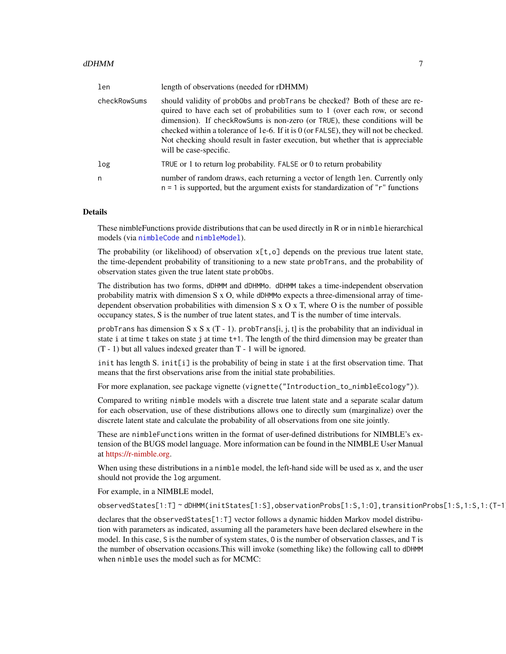<span id="page-6-0"></span>

| len          | length of observations (needed for rDHMM)                                                                                                                                                                                                                                                                                                                                                                                                          |
|--------------|----------------------------------------------------------------------------------------------------------------------------------------------------------------------------------------------------------------------------------------------------------------------------------------------------------------------------------------------------------------------------------------------------------------------------------------------------|
| checkRowSums | should validity of probobs and probTrans be checked? Both of these are re-<br>quired to have each set of probabilities sum to 1 (over each row, or second<br>dimension). If checkRowSums is non-zero (or TRUE), these conditions will be<br>checked within a tolerance of 1e-6. If it is $0$ (or $FALSE$ ), they will not be checked.<br>Not checking should result in faster execution, but whether that is appreciable<br>will be case-specific. |
| log          | TRUE or 1 to return $log$ probability. FALSE or 0 to return probability                                                                                                                                                                                                                                                                                                                                                                            |
| n            | number of random draws, each returning a vector of length 1en. Currently only<br>$n = 1$ is supported, but the argument exists for standardization of " $r$ " functions                                                                                                                                                                                                                                                                            |

#### Details

These nimbleFunctions provide distributions that can be used directly in R or in nimble hierarchical models (via [nimbleCode](#page-0-0) and [nimbleModel](#page-0-0)).

The probability (or likelihood) of observation  $x[t, o]$  depends on the previous true latent state, the time-dependent probability of transitioning to a new state probTrans, and the probability of observation states given the true latent state probObs.

The distribution has two forms, dDHMM and dDHMMo. dDHMM takes a time-independent observation probability matrix with dimension S x O, while dDHMMo expects a three-dimensional array of timedependent observation probabilities with dimension  $S \times O \times T$ , where O is the number of possible occupancy states, S is the number of true latent states, and T is the number of time intervals.

probTrans has dimension S x S x  $(T - 1)$ . probTrans $[i, j, t]$  is the probability that an individual in state i at time t takes on state j at time t+1. The length of the third dimension may be greater than (T - 1) but all values indexed greater than T - 1 will be ignored.

init has length S. init[i] is the probability of being in state i at the first observation time. That means that the first observations arise from the initial state probabilities.

For more explanation, see package vignette (vignette ("Introduction\_to\_nimbleEcology")).

Compared to writing nimble models with a discrete true latent state and a separate scalar datum for each observation, use of these distributions allows one to directly sum (marginalize) over the discrete latent state and calculate the probability of all observations from one site jointly.

These are nimbleFunctions written in the format of user-defined distributions for NIMBLE's extension of the BUGS model language. More information can be found in the NIMBLE User Manual at [https://r-nimble.org.](https://r-nimble.org)

When using these distributions in a nimble model, the left-hand side will be used as x, and the user should not provide the log argument.

For example, in a NIMBLE model,

observedStates[1:T] ~ dDHMM(initStates[1:S],observationProbs[1:S,1:O],transitionProbs[1:S,1:S,1:(T-1)],1,T)

declares that the observedStates[1:T] vector follows a dynamic hidden Markov model distribution with parameters as indicated, assuming all the parameters have been declared elsewhere in the model. In this case, S is the number of system states, O is the number of observation classes, and T is the number of observation occasions.This will invoke (something like) the following call to dDHMM when nimble uses the model such as for MCMC: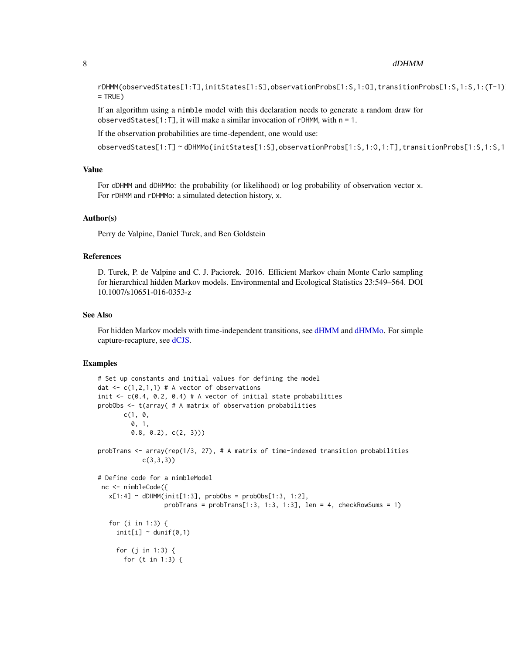<span id="page-7-0"></span>rDHMM(observedStates[1:T],initStates[1:S],observationProbs[1:S,1:O],transitionProbs[1:S,1:S,1:(T-1)  $=$  TRUE)

If an algorithm using a nimble model with this declaration needs to generate a random draw for observedStates[1:T], it will make a similar invocation of rDHMM, with  $n = 1$ .

If the observation probabilities are time-dependent, one would use:

observedStates[1:T]~dDHMMo(initStates[1:S],observationProbs[1:S,1:O,1:T],transitionProbs[1:S,1:S,1

#### Value

For dDHMM and dDHMMo: the probability (or likelihood) or log probability of observation vector x. For rDHMM and rDHMMo: a simulated detection history, x.

#### Author(s)

Perry de Valpine, Daniel Turek, and Ben Goldstein

#### References

D. Turek, P. de Valpine and C. J. Paciorek. 2016. Efficient Markov chain Monte Carlo sampling for hierarchical hidden Markov models. Environmental and Ecological Statistics 23:549–564. DOI 10.1007/s10651-016-0353-z

#### See Also

For hidden Markov models with time-independent transitions, see [dHMM](#page-12-1) and [dHMMo.](#page-12-2) For simple capture-recapture, see [dCJS.](#page-2-1)

```
# Set up constants and initial values for defining the model
dat \leq c(1,2,1,1) # A vector of observations
init \leq c(0.4, 0.2, 0.4) # A vector of initial state probabilities
probObs <- t(array( # A matrix of observation probabilities
       c(1, 0,0, 1,
        0.8, 0.2), c(2, 3)))
probTrans <- array(rep(1/3, 27), # A matrix of time-indexed transition probabilities
            c(3,3,3))
# Define code for a nimbleModel
nc <- nimbleCode({
  x[1:4] ~ dDHMM(init[1:3], probObs = probObs[1:3, 1:2],
                  probTrans = probTrans[1:3, 1:3, 1:3], len = 4, checkRowSums = 1)
   for (i in 1:3) {
     init[i] \sim dunif(0,1)
     for (j in 1:3) {
       for (t in 1:3) {
```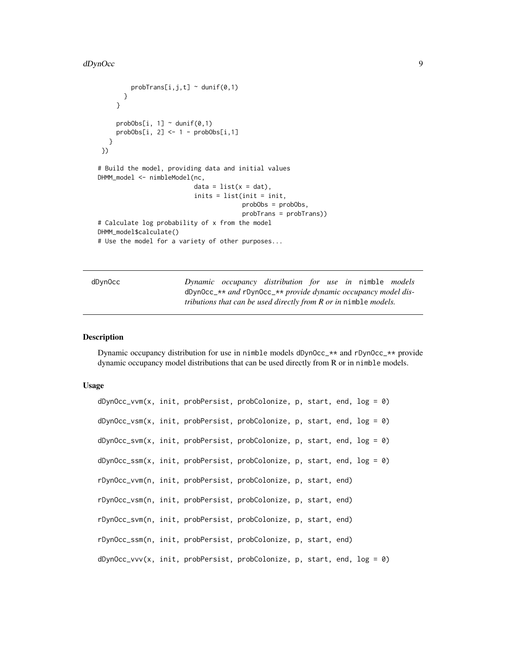```
probTrans[i,j,t] \sim dunif(0,1)
       }
     }
     probObs[i, 1] \sim dunif(0,1)
     probObs[i, 2] <- 1 - probObs[i,1]
  }
})
# Build the model, providing data and initial values
DHMM_model <- nimbleModel(nc,
                           data = list(x = dat),inits = list(init = init,
                                        probObs = probObs,
                                        probTrans = probTrans))
# Calculate log probability of x from the model
DHMM_model$calculate()
# Use the model for a variety of other purposes...
```
<span id="page-8-1"></span>dDynOcc *Dynamic occupancy distribution for use in* nimble *models* dDynOcc\_\*\* *and* rDynOcc\_\*\* *provide dynamic occupancy model distributions that can be used directly from R or in* nimble *models.*

### **Description**

Dynamic occupancy distribution for use in nimble models dDynOcc\_\*\* and rDynOcc\_\*\* provide dynamic occupancy model distributions that can be used directly from R or in nimble models.

#### Usage

```
dDynOcc\_vvm(x, init, problems, problemize, p, start, end, log = 0)dDynOcc\_vsm(x, init, probPersist, probColonize, p, start, end, log = 0)dDynOcc\_swm(x, init, probPersist, probColorize, p, start, end, log = 0)dDynOcc\_ssm(x, init, probability, problem, plot) probColonize, p, start, end, log = 0)
rDynOcc_vvm(n, init, probPersist, probColonize, p, start, end)
rDynOcc_vsm(n, init, probPersist, probColonize, p, start, end)
rDynOcc_svm(n, init, probPersist, probColonize, p, start, end)
rDynOcc_ssm(n, init, probPersist, probColonize, p, start, end)
dDynOcc_{VVV}(x, init, probability, problem, plot, point, p, start, end, log = 0)
```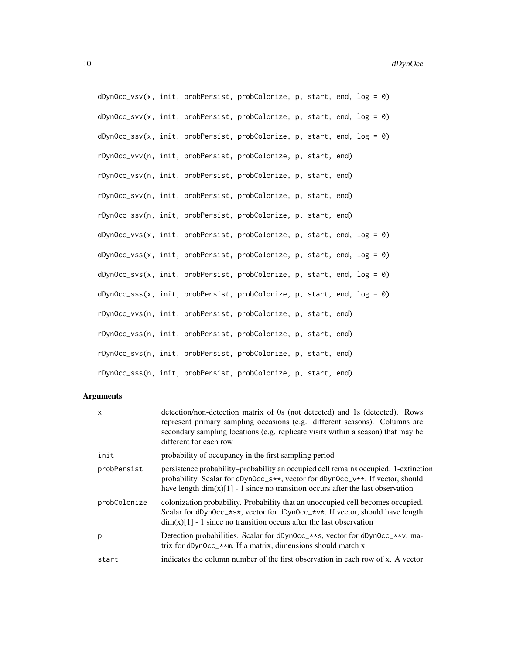$dDynOcc\_vsv(x, init, probPersist, probColonize, p, start, end, log = 0)$  $dDynOcc_Svv(x, init, probPersist, probColonize, p, start, end, log = 0)$ dDynOcc\_ssv(x, init, probPersist, probColonize, p, start, end, log = 0) rDynOcc\_vvv(n, init, probPersist, probColonize, p, start, end) rDynOcc\_vsv(n, init, probPersist, probColonize, p, start, end) rDynOcc\_svv(n, init, probPersist, probColonize, p, start, end) rDynOcc\_ssv(n, init, probPersist, probColonize, p, start, end)  $dDynOcc_vvs(x, init, probPersist, probColonize, p, start, end, log = 0)$  $dDynOcc\_vss(x, init, probability, problem, plot, p, start, end, log =  $\emptyset$ )$  $dDynOcc\_svs(x, init, probPersonize, p, start, end, log = 0)$  $dDynOcc\_sss(x, init, probPersonize, p, start, end, log = 0)$ rDynOcc\_vvs(n, init, probPersist, probColonize, p, start, end) rDynOcc\_vss(n, init, probPersist, probColonize, p, start, end) rDynOcc\_svs(n, init, probPersist, probColonize, p, start, end) rDynOcc\_sss(n, init, probPersist, probColonize, p, start, end)

#### Arguments

| x            | detection/non-detection matrix of 0s (not detected) and 1s (detected). Rows<br>represent primary sampling occasions (e.g. different seasons). Columns are<br>secondary sampling locations (e.g. replicate visits within a season) that may be<br>different for each row |
|--------------|-------------------------------------------------------------------------------------------------------------------------------------------------------------------------------------------------------------------------------------------------------------------------|
| init         | probability of occupancy in the first sampling period                                                                                                                                                                                                                   |
| probPersist  | persistence probability–probability an occupied cell remains occupied. 1-extinction<br>probability. Scalar for dDynOcc_s**, vector for dDynOcc_v**. If vector, should<br>have length $dim(x)[1]$ - 1 since no transition occurs after the last observation              |
| probColonize | colonization probability. Probability that an unoccupied cell becomes occupied.<br>Scalar for dDynOcc_*s*, vector for dDynOcc_*v*. If vector, should have length<br>$\dim(x)[1]$ - 1 since no transition occurs after the last observation                              |
| р            | Detection probabilities. Scalar for dDynOcc_**s, vector for dDynOcc_**v, ma-<br>trix for dDynOcc_ $\star\star$ m. If a matrix, dimensions should match x                                                                                                                |
| start        | indicates the column number of the first observation in each row of x. A vector                                                                                                                                                                                         |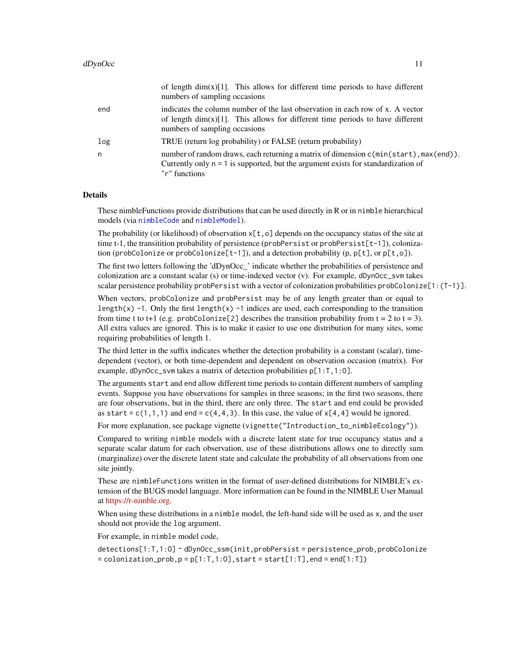<span id="page-10-0"></span>

|     | of length $dim(x)[1]$ . This allows for different time periods to have different<br>numbers of sampling occasions                                                                                   |
|-----|-----------------------------------------------------------------------------------------------------------------------------------------------------------------------------------------------------|
| end | indicates the column number of the last observation in each row of x. A vector<br>of length $dim(x)[1]$ . This allows for different time periods to have different<br>numbers of sampling occasions |
| log | TRUE (return log probability) or FALSE (return probability)                                                                                                                                         |
| n   | number of random draws, each returning a matrix of dimension c(min(start), max(end)).<br>Currently only $n = 1$ is supported, but the argument exists for standardization of<br>"r" functions       |

## Details

These nimbleFunctions provide distributions that can be used directly in R or in nimble hierarchical models (via [nimbleCode](#page-0-0) and [nimbleModel](#page-0-0)).

The probability (or likelihood) of observation  $x[t, o]$  depends on the occupancy status of the site at time t-1, the transitition probability of persistence (probPersist or probPersist[t-1]), colonization (probColonize or probColonize[t-1]), and a detection probability (p, p[t], or p[t,o]).

The first two letters following the 'dDynOcc\_' indicate whether the probabilities of persistence and colonization are a constant scalar (s) or time-indexed vector (v). For example, dDynOcc\_svm takes scalar persistence probability probPersist with a vector of colonization probabilities probColonize[1:(T-1)].

When vectors, probColonize and probPersist may be of any length greater than or equal to length(x) -1. Only the first length(x) -1 indices are used, each corresponding to the transition from time t to t+1 (e.g. probColonize[2] describes the transition probability from  $t = 2$  to  $t = 3$ ). All extra values are ignored. This is to make it easier to use one distribution for many sites, some requiring probabilities of length 1.

The third letter in the suffix indicates whether the detection probability is a constant (scalar), timedependent (vector), or both time-dependent and dependent on observation occasion (matrix). For example, dDynOcc\_svm takes a matrix of detection probabilities  $p[1:T,1:0]$ .

The arguments start and end allow different time periods to contain different numbers of sampling events. Suppose you have observations for samples in three seasons; in the first two seasons, there are four observations, but in the third, there are only three. The start and end could be provided as start =  $c(1,1,1)$  and end =  $c(4,4,3)$ . In this case, the value of  $x[4,4]$  would be ignored.

For more explanation, see package vignette (vignette ("Introduction\_to\_nimbleEcology")).

Compared to writing nimble models with a discrete latent state for true occupancy status and a separate scalar datum for each observation, use of these distributions allows one to directly sum (marginalize) over the discrete latent state and calculate the probability of all observations from one site jointly.

These are nimbleFunctions written in the format of user-defined distributions for NIMBLE's extension of the BUGS model language. More information can be found in the NIMBLE User Manual at [https://r-nimble.org.](https://r-nimble.org)

When using these distributions in a nimble model, the left-hand side will be used as x, and the user should not provide the log argument.

For example, in nimble model code,

detections[1:T,1:O] ~ dDynOcc\_ssm(init,probPersist = persistence\_prob,probColonize  $=$  colonization\_prob,  $p = p[1:T,1:0]$ , start = start[1:T], end = end[1:T])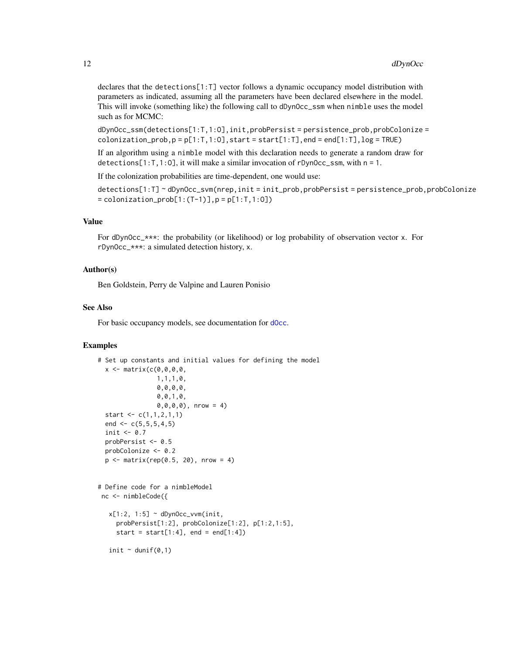declares that the detections[1:T] vector follows a dynamic occupancy model distribution with parameters as indicated, assuming all the parameters have been declared elsewhere in the model. This will invoke (something like) the following call to dDynOcc\_ssm when nimble uses the model such as for MCMC:

dDynOcc\_ssm(detections[1:T,1:O],init,probPersist = persistence\_prob,probColonize =  $colonization\_prob, p = p[1:T, 1:0], start = start[1:T], end = end[1:T], log = TRUE)$ 

If an algorithm using a nimble model with this declaration needs to generate a random draw for detections[1:T,1:O], it will make a similar invocation of  $rDynOcc_{ssm}$ , with  $n = 1$ .

If the colonization probabilities are time-dependent, one would use:

detections[1:T] ~ dDynOcc\_svm(nrep,init = init\_prob,probPersist = persistence\_prob,probColonize  $=$  colonization\_prob[1:(T-1)],  $p = p[1:T, 1:0]$ )

#### Value

For dDynOcc\_\*\*\*: the probability (or likelihood) or log probability of observation vector x. For rDynOcc\_\*\*\*: a simulated detection history, x.

# Author(s)

Ben Goldstein, Perry de Valpine and Lauren Ponisio

#### See Also

For basic occupancy models, see documentation for [dOcc](#page-20-1).

```
# Set up constants and initial values for defining the model
 x \le - matrix(c(0, 0, 0, 0, 0)1,1,1,0,
                0,0,0,0,
                0,0,1,0,
                0,0,0,0), nrow = 4)
 start \leq c(1,1,2,1,1)end \leq c(5, 5, 5, 4, 5)init <-0.7probPersist <- 0.5
 probColonize <- 0.2
 p \le - matrix(rep(0.5, 20), nrow = 4)
# Define code for a nimbleModel
nc <- nimbleCode({
   x[1:2, 1:5] ~ dDynOcc_vvm(init,
     probPersist[1:2], probColonize[1:2], p[1:2,1:5],
     start = start[1:4], end = end[1:4])
   init \sim dunif(0,1)
```
<span id="page-11-0"></span>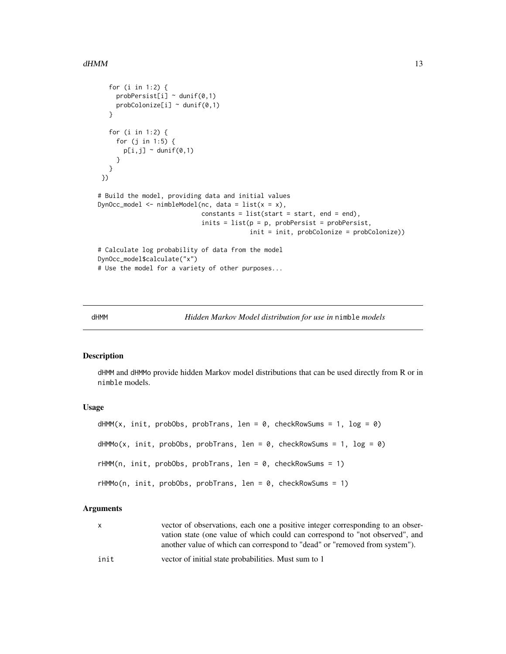#### <span id="page-12-0"></span> $dHMM$  13

```
for (i in 1:2) {
    probPersist[i] ~ dunif(0,1)
     probColonize[i] ~ dunif(0,1)
   }
  for (i in 1:2) {
    for (j in 1:5) {
      p[i,j] ~ dunif(0,1)
     }
  }
})
# Build the model, providing data and initial values
DynOcc_model <- nimbleModel(nc, data = list(x = x),
                            constants = list(start = start, end = end),
                            inits = list(p = p, probPersist = probPersist,init = init, probColonize = probColonize))
# Calculate log probability of data from the model
DynOcc_model$calculate("x")
# Use the model for a variety of other purposes...
```
<span id="page-12-1"></span>

dHMM *Hidden Markov Model distribution for use in* nimble *models*

#### <span id="page-12-2"></span>Description

dHMM and dHMMo provide hidden Markov model distributions that can be used directly from R or in nimble models.

#### Usage

```
dHMM(x, init, probObs, probTrans, len = 0, checkRowsums = 1, log = 0)dHMMo(x, init, probObs, probTrans, len = 0, checkRowsums = 1, log = 0)rHMM(n, init, probObs, probTrans, len = 0, checkRowsum = 1)rHMMo(n, init, probObs, probTrans, len = 0, checkRowsum = 1)
```
# Arguments

|      | vector of observations, each one a positive integer corresponding to an obser-<br>vation state (one value of which could can correspond to "not observed", and<br>another value of which can correspond to "dead" or "removed from system"). |
|------|----------------------------------------------------------------------------------------------------------------------------------------------------------------------------------------------------------------------------------------------|
| init | vector of initial state probabilities. Must sum to 1                                                                                                                                                                                         |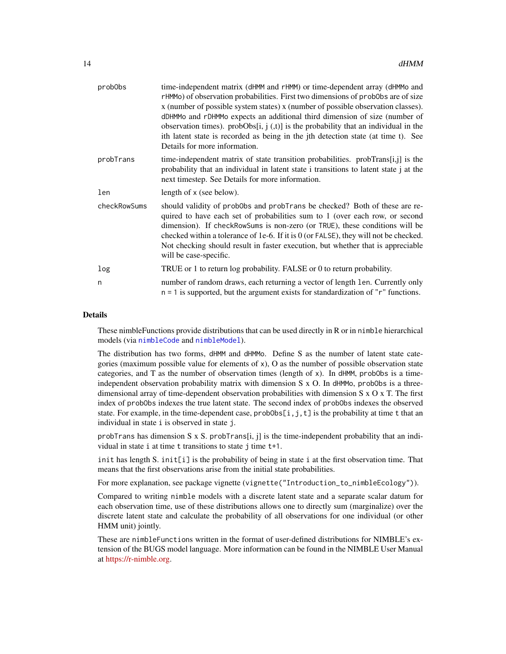<span id="page-13-0"></span>

| prob0bs      | time-independent matrix (dHMM and rHMM) or time-dependent array (dHMMo and<br>rHMMo) of observation probabilities. First two dimensions of probobs are of size<br>x (number of possible system states) x (number of possible observation classes).<br>dDHMMo and rDHMMo expects an additional third dimension of size (number of<br>observation times). prob $Obs[i, j(t)]$ is the probability that an individual in the<br>ith latent state is recorded as being in the jth detection state (at time t). See<br>Details for more information. |
|--------------|------------------------------------------------------------------------------------------------------------------------------------------------------------------------------------------------------------------------------------------------------------------------------------------------------------------------------------------------------------------------------------------------------------------------------------------------------------------------------------------------------------------------------------------------|
| probTrans    | time-independent matrix of state transition probabilities. probTrans[i,j] is the<br>probability that an individual in latent state i transitions to latent state j at the<br>next timestep. See Details for more information.                                                                                                                                                                                                                                                                                                                  |
| len          | length of x (see below).                                                                                                                                                                                                                                                                                                                                                                                                                                                                                                                       |
| checkRowSums | should validity of probobs and probTrans be checked? Both of these are re-<br>quired to have each set of probabilities sum to 1 (over each row, or second<br>dimension). If checkRowSums is non-zero (or TRUE), these conditions will be<br>checked within a tolerance of 1e-6. If it is $0$ (or FALSE), they will not be checked.<br>Not checking should result in faster execution, but whether that is appreciable<br>will be case-specific.                                                                                                |
| log          | TRUE or 1 to return log probability. FALSE or 0 to return probability.                                                                                                                                                                                                                                                                                                                                                                                                                                                                         |
| n            | number of random draws, each returning a vector of length 1en. Currently only<br>$n = 1$ is supported, but the argument exists for standardization of " $r$ " functions.                                                                                                                                                                                                                                                                                                                                                                       |

#### Details

These nimbleFunctions provide distributions that can be used directly in R or in nimble hierarchical models (via [nimbleCode](#page-0-0) and [nimbleModel](#page-0-0)).

The distribution has two forms, dHMM and dHMMo. Define S as the number of latent state categories (maximum possible value for elements of  $x$ ), O as the number of possible observation state categories, and T as the number of observation times (length of  $x$ ). In dHMM, probObs is a timeindependent observation probability matrix with dimension  $S \times O$ . In dHMMo, probObs is a threedimensional array of time-dependent observation probabilities with dimension S x O x T. The first index of probObs indexes the true latent state. The second index of probObs indexes the observed state. For example, in the time-dependent case,  $probObs[i,j,t]$  is the probability at time t that an individual in state i is observed in state j.

probTrans has dimension S x S. probTrans $[i, j]$  is the time-independent probability that an individual in state i at time t transitions to state j time t+1.

init has length S. init[i] is the probability of being in state i at the first observation time. That means that the first observations arise from the initial state probabilities.

For more explanation, see package vignette (vignette ("Introduction\_to\_nimbleEcology")).

Compared to writing nimble models with a discrete latent state and a separate scalar datum for each observation time, use of these distributions allows one to directly sum (marginalize) over the discrete latent state and calculate the probability of all observations for one individual (or other HMM unit) jointly.

These are nimbleFunctions written in the format of user-defined distributions for NIMBLE's extension of the BUGS model language. More information can be found in the NIMBLE User Manual at [https://r-nimble.org.](https://r-nimble.org)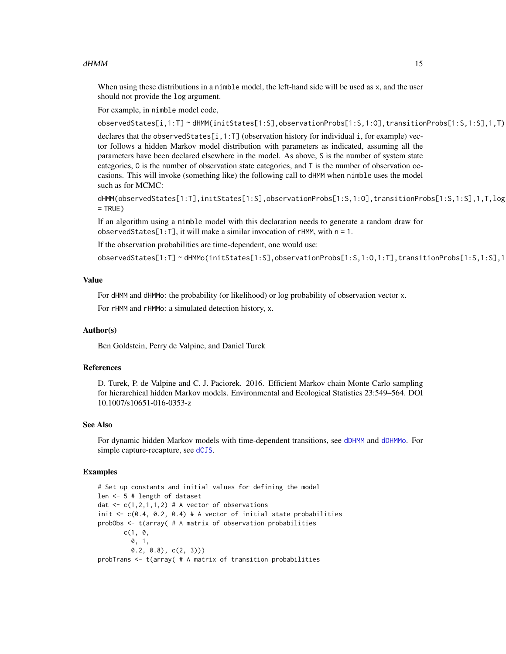#### <span id="page-14-0"></span> $dHMM$  15

When using these distributions in a nimble model, the left-hand side will be used as x, and the user should not provide the log argument.

For example, in nimble model code,

observedStates[i,1:T] ~ dHMM(initStates[1:S],observationProbs[1:S,1:O],transitionProbs[1:S,1:S],1,T)

declares that the observedStates[i,1:T] (observation history for individual i, for example) vector follows a hidden Markov model distribution with parameters as indicated, assuming all the parameters have been declared elsewhere in the model. As above, S is the number of system state categories, O is the number of observation state categories, and T is the number of observation occasions. This will invoke (something like) the following call to dHMM when nimble uses the model such as for MCMC:

```
dHMM(observedStates[1:T],initStates[1:S],observationProbs[1:S,1:O],transitionProbs[1:S,1:S],1,T,log
= TRUE)
```
If an algorithm using a nimble model with this declaration needs to generate a random draw for observedStates[1:T], it will make a similar invocation of  $r$ HMM, with  $n = 1$ .

If the observation probabilities are time-dependent, one would use:

observedStates[1:T] ~ dHMMo(initStates[1:S],observationProbs[1:S,1:O,1:T],transitionProbs[1:S,1:S],1,T)

#### Value

For dHMM and dHMMo: the probability (or likelihood) or log probability of observation vector x.

For rHMM and rHMMo: a simulated detection history, x.

# Author(s)

Ben Goldstein, Perry de Valpine, and Daniel Turek

### References

D. Turek, P. de Valpine and C. J. Paciorek. 2016. Efficient Markov chain Monte Carlo sampling for hierarchical hidden Markov models. Environmental and Ecological Statistics 23:549–564. DOI 10.1007/s10651-016-0353-z

#### See Also

For dynamic hidden Markov models with time-dependent transitions, see [dDHMM](#page-5-1) and [dDHMMo](#page-5-2). For simple capture-recapture, see [dCJS](#page-2-1).

```
# Set up constants and initial values for defining the model
len <- 5 # length of dataset
dat \leq c(1,2,1,1,2) # A vector of observations
init <-c(0.4, 0.2, 0.4) # A vector of initial state probabilities
probObs <- t(array( # A matrix of observation probabilities
      c(1, 0,0, 1,
        (0.2, 0.8), c(2, 3))probTrans <- t(array( # A matrix of transition probabilities
```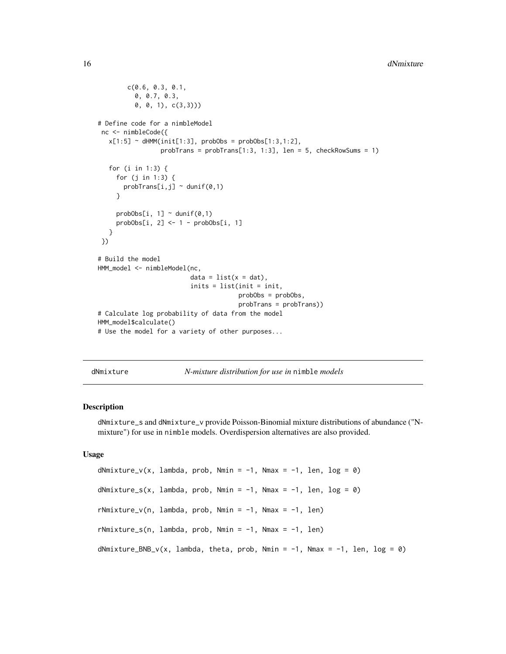```
c(0.6, 0.3, 0.1,
         0, 0.7, 0.3,
         0, 0, 1), c(3,3)))
# Define code for a nimbleModel
nc <- nimbleCode({
  x[1:5] ~ dHMM(init[1:3], probObs = probObs[1:3,1:2],
                 probTrans = probTrans[1:3, 1:3], len = 5, checkRowSums = 1)
   for (i in 1:3) {
     for (j in 1:3) {
       probTrans[i,j] ~ dunif(0,1)
     }
    probObs[i, 1] \sim dunif(0,1)probObs[i, 2] <- 1 - probObs[i, 1]
   }
})
# Build the model
HMM_model <- nimbleModel(nc,
                         data = list(x = dat),inits = list(init = init,
                                      probObs = probObs,
                                      probTrans = probTrans))
# Calculate log probability of data from the model
HMM_model$calculate()
# Use the model for a variety of other purposes...
```
<span id="page-15-1"></span>dNmixture *N-mixture distribution for use in* nimble *models*

#### Description

dNmixture\_s and dNmixture\_v provide Poisson-Binomial mixture distributions of abundance ("Nmixture") for use in nimble models. Overdispersion alternatives are also provided.

#### Usage

```
dNmixture_v(x, lambda, prob, Nmin = -1, Nmax = -1, len, log = 0)
dNmixture_s(x, lambda, prob, Nmin = -1, Nmax = -1, len, log = 0)
rNmixture_v(n, lambda, prob, Nmin = -1, Nmax = -1, len)rNmixture_s(n, lambda, prob, Nmin = -1, Nmax = -1, len)dNmixture_BNB_v(x, lambda, theta, prob, Nmin = -1, Nmax = -1, len, log = 0)
```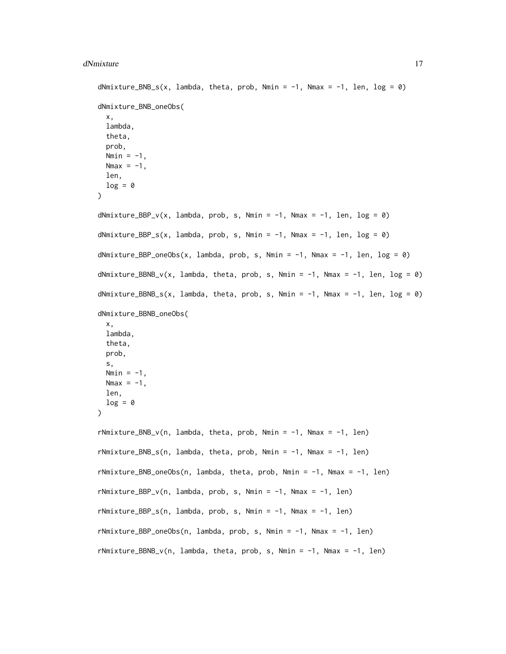#### dNmixture 17

```
dNmixture_BNB_S(x, lambda, theta, prob, Nmin = -1, Nmax = -1, len, log = 0)dNmixture_BNB_oneObs(
  x,
 lambda,
  theta,
 prob,
 Nmin = -1,
 Nmax = -1,
  len,
  log = 0\lambdadNmixture_BBP_v(x, lambda, prob, s, Nmin = -1, Nmax = -1, len, log = 0)
dNmixture_BBP_s(x, lambda, prob, s, Nmin = -1, Nmax = -1, len, log = 0)
dNmixture_BBP_oneObs(x, lambda, prob, s, Nmin = -1, Nmax = -1, len, log = 0)
dNmixture_BBNB_v(x, lambda, theta, prob, s, Nmin = -1, Nmax = -1, len, log = 0)
dNmixture_BBNB_s(x, lambda, theta, prob, s, Nmin = -1, Nmax = -1, len, log = 0)dNmixture_BBNB_oneObs(
  x,
 lambda,
  theta,
 prob,
  s,
 Nmin = -1,
 Nmax = -1,
  len,
  log = 0\lambdarNmixture_BNB_v(n, lambda, theta, prob, Nmin = -1, Nmax = -1, len)rNmixture_BNB_s(n, lambda, theta, prob, Nmin = -1, Nmax = -1, len)
rNmixture_BNB_oneObs(n, lambda, theta, prob, Nmin = -1, Nmax = -1, len)
rNmixture_BBP_v(n, lambda, prob, s, Nmin = -1, Nmax = -1, len)
rNmixture_BBP_s(n, lambda, prob, s, Nmin = -1, Nmax = -1, len)
rNmixture_BBP_oneObs(n, lambda, prob, s, Nmin = -1, Nmax = -1, len)
rNmixture_BBNB_v(n, lambda, theta, prob, s, Nmin = -1, Nmax = -1, len)
```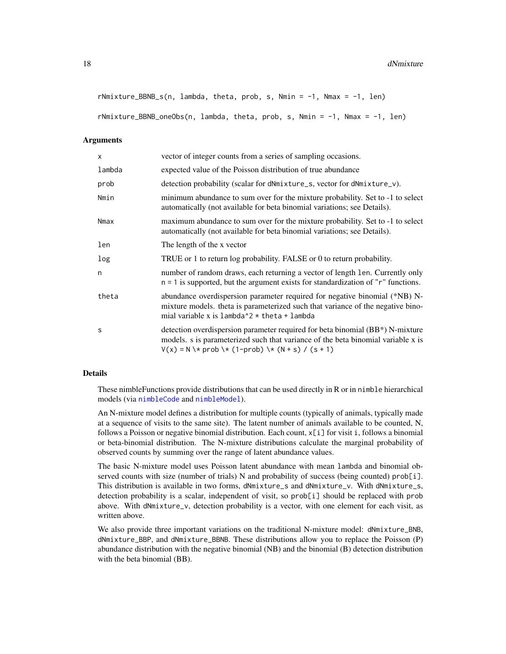<span id="page-17-0"></span> $rNmixture_BBNB_s(n, lambda, theta, prob, s, Nmin = -1, Nmax = -1, len)$ 

 $rNmixture_BBNB_oneObs(n, lambda, theta, prob, s, Nmin = -1, Nmax = -1, len)$ 

#### Arguments

| $\mathsf{x}$ | vector of integer counts from a series of sampling occasions.                                                                                                                                                                        |
|--------------|--------------------------------------------------------------------------------------------------------------------------------------------------------------------------------------------------------------------------------------|
| lambda       | expected value of the Poisson distribution of true abundance                                                                                                                                                                         |
| prob         | detection probability (scalar for dNmixture_s, vector for dNmixture_v).                                                                                                                                                              |
| Nmin         | minimum abundance to sum over for the mixture probability. Set to -1 to select<br>automatically (not available for beta binomial variations; see Details).                                                                           |
| Nmax         | maximum abundance to sum over for the mixture probability. Set to -1 to select<br>automatically (not available for beta binomial variations; see Details).                                                                           |
| len          | The length of the x vector                                                                                                                                                                                                           |
| log          | TRUE or 1 to return log probability. FALSE or 0 to return probability.                                                                                                                                                               |
| n            | number of random draws, each returning a vector of length 1en. Currently only<br>$n = 1$ is supported, but the argument exists for standardization of " $r$ " functions.                                                             |
| theta        | abundance overdispersion parameter required for negative binomial (*NB) N-<br>mixture models. theta is parameterized such that variance of the negative bino-<br>mial variable x is $l$ ambda $2 \times$ theta + $l$ ambda           |
| S            | detection overdispersion parameter required for beta binomial (BB*) N-mixture<br>models. s is parameterized such that variance of the beta binomial variable x is<br>$V(x) = N \times prob \times (1-prob) \times (N + s) / (s + 1)$ |

# Details

These nimbleFunctions provide distributions that can be used directly in R or in nimble hierarchical models (via [nimbleCode](#page-0-0) and [nimbleModel](#page-0-0)).

An N-mixture model defines a distribution for multiple counts (typically of animals, typically made at a sequence of visits to the same site). The latent number of animals available to be counted, N, follows a Poisson or negative binomial distribution. Each count,  $x[i]$  for visit i, follows a binomial or beta-binomial distribution. The N-mixture distributions calculate the marginal probability of observed counts by summing over the range of latent abundance values.

The basic N-mixture model uses Poisson latent abundance with mean lambda and binomial observed counts with size (number of trials) N and probability of success (being counted) prob[i]. This distribution is available in two forms, dNmixture\_s and dNmixture\_v. With dNmixture\_s, detection probability is a scalar, independent of visit, so prob[i] should be replaced with prob above. With dNmixture\_v, detection probability is a vector, with one element for each visit, as written above.

We also provide three important variations on the traditional N-mixture model:  $dN$ mixture\_BNB, dNmixture\_BBP, and dNmixture\_BBNB. These distributions allow you to replace the Poisson (P) abundance distribution with the negative binomial (NB) and the binomial (B) detection distribution with the beta binomial (BB).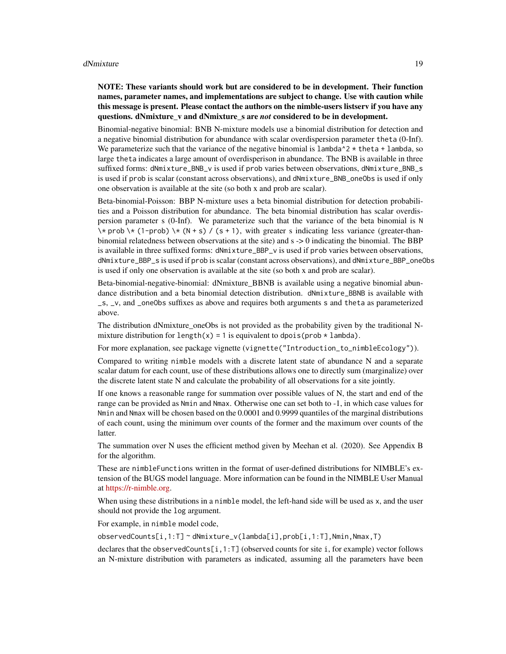#### dNmixture 19

# NOTE: These variants should work but are considered to be in development. Their function names, parameter names, and implementations are subject to change. Use with caution while this message is present. Please contact the authors on the nimble-users listserv if you have any questions. dNmixture\_v and dNmixture\_s are *not* considered to be in development.

Binomial-negative binomial: BNB N-mixture models use a binomial distribution for detection and a negative binomial distribution for abundance with scalar overdispersion parameter theta (0-Inf). We parameterize such that the variance of the negative binomial is  $lambda^2 *$  theta + lambda, so large theta indicates a large amount of overdisperison in abundance. The BNB is available in three suffixed forms: dNmixture\_BNB\_v is used if prob varies between observations, dNmixture\_BNB\_s is used if prob is scalar (constant across observations), and dNmixture\_BNB\_oneObs is used if only one observation is available at the site (so both x and prob are scalar).

Beta-binomial-Poisson: BBP N-mixture uses a beta binomial distribution for detection probabilities and a Poisson distribution for abundance. The beta binomial distribution has scalar overdispersion parameter s (0-Inf). We parameterize such that the variance of the beta binomial is N  $\forall$  prob  $\forall$  (1-prob)  $\forall$  (N + s) / (s + 1), with greater s indicating less variance (greater-thanbinomial relatedness between observations at the site) and s -> 0 indicating the binomial. The BBP is available in three suffixed forms: dNmixture\_BBP\_v is used if prob varies between observations, dNmixture\_BBP\_s is used if prob is scalar (constant across observations), and dNmixture\_BBP\_oneObs is used if only one observation is available at the site (so both x and prob are scalar).

Beta-binomial-negative-binomial: dNmixture BBNB is available using a negative binomial abundance distribution and a beta binomial detection distribution. dNmixture\_BBNB is available with \_s, \_v, and \_oneObs suffixes as above and requires both arguments s and theta as parameterized above.

The distribution dNmixture\_oneObs is not provided as the probability given by the traditional Nmixture distribution for length(x) = 1 is equivalent to dpois(prob  $*$  lambda).

For more explanation, see package vignette (vignette ("Introduction\_to\_nimbleEcology")).

Compared to writing nimble models with a discrete latent state of abundance N and a separate scalar datum for each count, use of these distributions allows one to directly sum (marginalize) over the discrete latent state N and calculate the probability of all observations for a site jointly.

If one knows a reasonable range for summation over possible values of N, the start and end of the range can be provided as Nmin and Nmax. Otherwise one can set both to -1, in which case values for Nmin and Nmax will be chosen based on the 0.0001 and 0.9999 quantiles of the marginal distributions of each count, using the minimum over counts of the former and the maximum over counts of the latter.

The summation over N uses the efficient method given by Meehan et al. (2020). See Appendix B for the algorithm.

These are nimbleFunctions written in the format of user-defined distributions for NIMBLE's extension of the BUGS model language. More information can be found in the NIMBLE User Manual at [https://r-nimble.org.](https://r-nimble.org)

When using these distributions in a nimble model, the left-hand side will be used as x, and the user should not provide the log argument.

For example, in nimble model code,

observedCounts[i,1:T] ~ dNmixture\_v(lambda[i],prob[i,1:T],Nmin,Nmax,T)

declares that the observedCounts $[i, 1:T]$  (observed counts for site i, for example) vector follows an N-mixture distribution with parameters as indicated, assuming all the parameters have been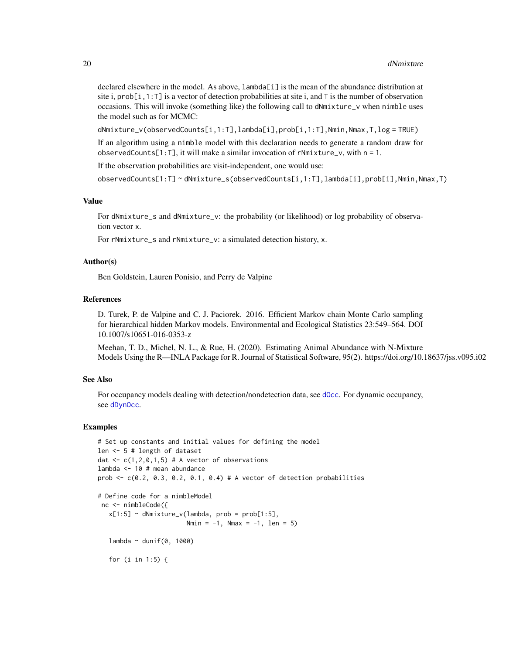declared elsewhere in the model. As above, lambda[i] is the mean of the abundance distribution at site i, prob[i,1:T] is a vector of detection probabilities at site i, and T is the number of observation occasions. This will invoke (something like) the following call to dNmixture\_v when nimble uses the model such as for MCMC:

dNmixture\_v(observedCounts[i,1:T],lambda[i],prob[i,1:T],Nmin,Nmax,T,log = TRUE)

If an algorithm using a nimble model with this declaration needs to generate a random draw for observedCounts[1:T], it will make a similar invocation of  $rNmixture_v$ , with  $n = 1$ .

If the observation probabilities are visit-independent, one would use:

observedCounts[1:T] ~ dNmixture\_s(observedCounts[i,1:T],lambda[i],prob[i],Nmin,Nmax,T)

#### Value

For dNmixture\_s and dNmixture\_v: the probability (or likelihood) or log probability of observation vector x.

For rNmixture\_s and rNmixture\_v: a simulated detection history, x.

#### Author(s)

Ben Goldstein, Lauren Ponisio, and Perry de Valpine

# References

D. Turek, P. de Valpine and C. J. Paciorek. 2016. Efficient Markov chain Monte Carlo sampling for hierarchical hidden Markov models. Environmental and Ecological Statistics 23:549–564. DOI 10.1007/s10651-016-0353-z

Meehan, T. D., Michel, N. L., & Rue, H. (2020). Estimating Animal Abundance with N-Mixture Models Using the R—INLA Package for R. Journal of Statistical Software, 95(2). https://doi.org/10.18637/jss.v095.i02

#### See Also

For occupancy models dealing with detection/nondetection data, see [dOcc](#page-20-1). For dynamic occupancy, see [dDynOcc](#page-8-1).

```
# Set up constants and initial values for defining the model
len <- 5 # length of dataset
dat \leq c(1,2,0,1,5) # A vector of observations
lambda <- 10 # mean abundance
prob \leq c(0.2, 0.3, 0.2, 0.1, 0.4) # A vector of detection probabilities
# Define code for a nimbleModel
nc <- nimbleCode({
  x[1:5] ~ dNmixture_v(lambda, prob = prob[1:5],
                        Nmin = -1, Nmax = -1, len = 5)
  lambda ~ ~ ~ dunif(0, 1000)
   for (i in 1:5) {
```
<span id="page-19-0"></span>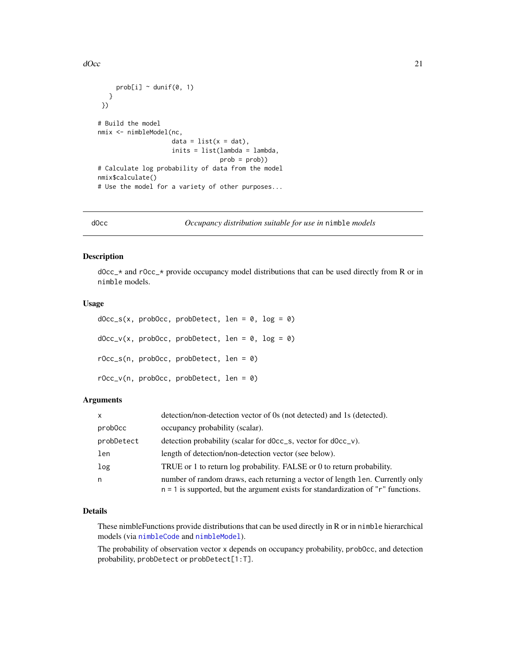```
dOcc 21
```

```
prob[i] \sim dunif(0, 1)
  }
})
# Build the model
nmix <- nimbleModel(nc,
                    data = list(x = dat),inits = list(lambda = lambda,
                                 prob = prob))
# Calculate log probability of data from the model
nmix$calculate()
# Use the model for a variety of other purposes...
```
<span id="page-20-1"></span>dOcc *Occupancy distribution suitable for use in* nimble *models*

#### Description

 $\text{d}$ Occ $\text{-}$   $\star$  and rOcc $\text{-}$  $\star$  provide occupancy model distributions that can be used directly from R or in nimble models.

#### Usage

```
dOcc_s(x, probeOcc, probeLet, len = 0, log = 0)dOcc_v(x, probeOcc, probefect, len = 0, log = 0)rOcc_s(n, probOcc, probDetect, len = 0)
rOcc_v(n, probOcc, probDetect, len = 0)
```
# Arguments

| X          | detection/non-detection vector of 0s (not detected) and 1s (detected).                                                                                                   |
|------------|--------------------------------------------------------------------------------------------------------------------------------------------------------------------------|
| prob0cc    | occupancy probability (scalar).                                                                                                                                          |
| probDetect | detection probability (scalar for docc_s, vector for docc_v).                                                                                                            |
| len        | length of detection/non-detection vector (see below).                                                                                                                    |
| log        | TRUE or 1 to return log probability. FALSE or 0 to return probability.                                                                                                   |
| n          | number of random draws, each returning a vector of length 1en. Currently only<br>$n = 1$ is supported, but the argument exists for standardization of " $r$ " functions. |

### Details

These nimbleFunctions provide distributions that can be used directly in R or in nimble hierarchical models (via [nimbleCode](#page-0-0) and [nimbleModel](#page-0-0)).

The probability of observation vector x depends on occupancy probability, probOcc, and detection probability, probDetect or probDetect[1:T].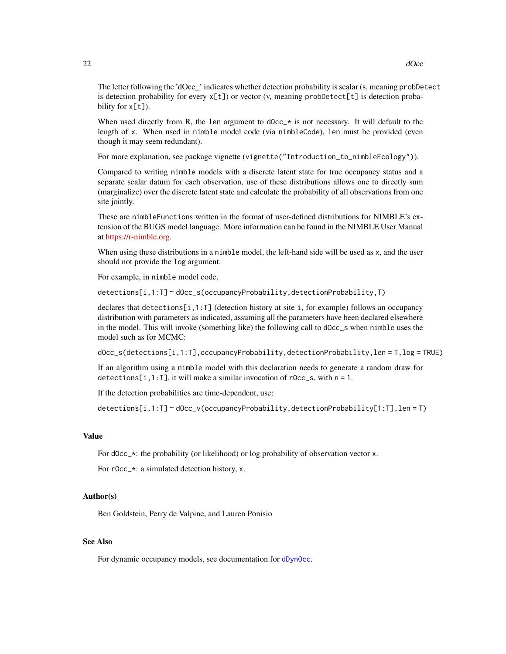<span id="page-21-0"></span>The letter following the 'dOcc\_' indicates whether detection probability is scalar (s, meaning probDetect is detection probability for every  $x[t]$  or vector (v, meaning prob $\Delta$ betect [t] is detection probability for  $x[t]$ ).

When used directly from R, the len argument to  $\text{d}$ Occ<sub>\_\*</sub> is not necessary. It will default to the length of x. When used in nimble model code (via nimbleCode), len must be provided (even though it may seem redundant).

For more explanation, see package vignette (vignette ("Introduction\_to\_nimbleEcology")).

Compared to writing nimble models with a discrete latent state for true occupancy status and a separate scalar datum for each observation, use of these distributions allows one to directly sum (marginalize) over the discrete latent state and calculate the probability of all observations from one site jointly.

These are nimbleFunctions written in the format of user-defined distributions for NIMBLE's extension of the BUGS model language. More information can be found in the NIMBLE User Manual at [https://r-nimble.org.](https://r-nimble.org)

When using these distributions in a nimble model, the left-hand side will be used as x, and the user should not provide the log argument.

For example, in nimble model code,

detections[i,1:T] ~ dOcc\_s(occupancyProbability,detectionProbability,T)

declares that detections[i,1:T] (detection history at site i, for example) follows an occupancy distribution with parameters as indicated, assuming all the parameters have been declared elsewhere in the model. This will invoke (something like) the following call to dOcc\_s when nimble uses the model such as for MCMC:

dOcc\_s(detections[i,1:T],occupancyProbability,detectionProbability,len = T,log = TRUE)

If an algorithm using a nimble model with this declaration needs to generate a random draw for detections[i,1:T], it will make a similar invocation of  $r$ Occ\_s, with  $n = 1$ .

If the detection probabilities are time-dependent, use:

detections[i,1:T] ~ dOcc\_v(occupancyProbability,detectionProbability[1:T],len = T)

#### Value

For dOcc\_\*: the probability (or likelihood) or log probability of observation vector x.

For rOcc\_\*: a simulated detection history, x.

#### Author(s)

Ben Goldstein, Perry de Valpine, and Lauren Ponisio

# See Also

For dynamic occupancy models, see documentation for [dDynOcc](#page-8-1).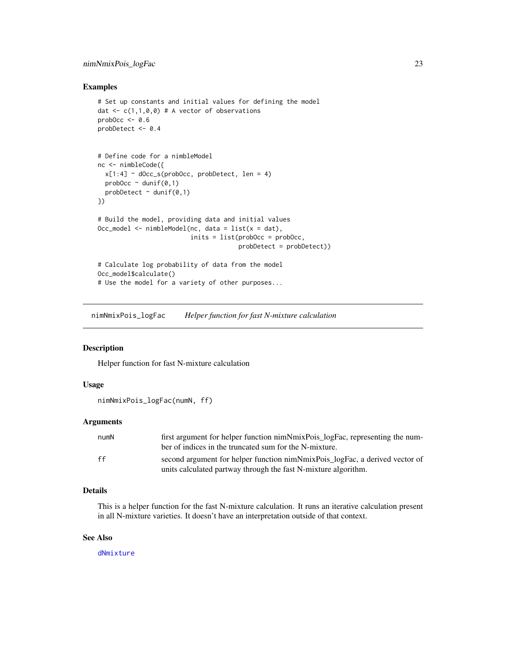# <span id="page-22-0"></span>nimNmixPois\_logFac 23

#### Examples

```
# Set up constants and initial values for defining the model
dat \leq c(1,1,0,0) # A vector of observations
prob0cc \le -0.6probDetect <- 0.4
# Define code for a nimbleModel
nc <- nimbleCode({
  x[1:4] ~ dOcc_s(probOcc, probDetect, len = 4)
  probOcc \sim dunif(0,1)
  probDetect ~\sim dunif(0,1)
})
# Build the model, providing data and initial values
Occ_model <- nimbleModel(nc, data = list(x = dat),
                         inits = list(probe0c = probe0c,
                                       probDetect = probDetect))
# Calculate log probability of data from the model
Occ_model$calculate()
# Use the model for a variety of other purposes...
```
nimNmixPois\_logFac *Helper function for fast N-mixture calculation*

#### Description

Helper function for fast N-mixture calculation

# Usage

```
nimNmixPois_logFac(numN, ff)
```
# Arguments

| numN | first argument for helper function nimNmixPois_logFac, representing the num-<br>ber of indices in the truncated sum for the N-mixture.        |
|------|-----------------------------------------------------------------------------------------------------------------------------------------------|
| ff   | second argument for helper function nimNmixPois_logFac, a derived vector of<br>units calculated partway through the fast N-mixture algorithm. |

# Details

This is a helper function for the fast N-mixture calculation. It runs an iterative calculation present in all N-mixture varieties. It doesn't have an interpretation outside of that context.

# See Also

[dNmixture](#page-15-1)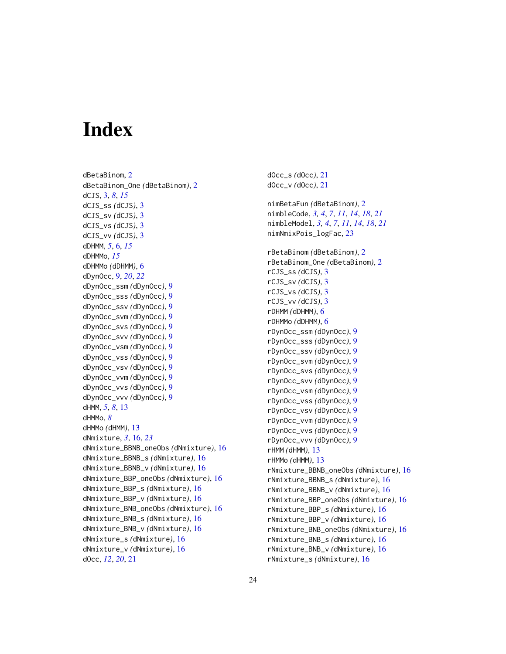# <span id="page-23-0"></span>Index

```
dBetaBinom, 2
dBetaBinom_One (dBetaBinom), 2
dCJS, 3, 8, 15
dCJS_ss (dCJS), 3
dCJS_sv (dCJS), 3
dCJS_vs (dCJS), 3
dCJS_vv (dCJS), 3
dDHMM, 5, 6, 15
dDHMMo, 15
dDHMMo (dDHMM), 6
dDynOcc, 9, 20, 22
dDynOcc_ssm (dDynOcc), 9
dDynOcc_sss (dDynOcc), 9
dDynOcc_ssv (dDynOcc), 9
dDynOcc_svm (dDynOcc), 9
dDynOcc_svs (dDynOcc), 9
dDynOcc_svv (dDynOcc), 9
dDynOcc_vsm (dDynOcc), 9
dDynOcc_vss (dDynOcc), 9
dDynOcc_vsv (dDynOcc), 9
dDynOcc_vvm (dDynOcc), 9
dDynOcc_vvs (dDynOcc), 9
dDynOcc_vvv (dDynOcc), 9
dHMM, 5, 8, 13
dHMMo, 8
dHMMo (dHMM), 13
dNmixture, 3, 16, 23
dNmixture_BBNB_oneObs (dNmixture), 16
dNmixture_BBNB_s (dNmixture), 16
dNmixture_BBNB_v (dNmixture), 16
dNmixture_BBP_oneObs (dNmixture), 16
dNmixture_BBP_s (dNmixture), 16
dNmixture_BBP_v (dNmixture), 16
dNmixture_BNB_oneObs (dNmixture), 16
dNmixture_BNB_s (dNmixture), 16
dNmixture_BNB_v (dNmixture), 16
dNmixture_s (dNmixture), 16
dNmixture_v (dNmixture), 16
dOcc, 12, 20, 21
```
dOcc\_s *(*dOcc*)*, [21](#page-20-0) dOcc\_v *(*dOcc*)*, [21](#page-20-0) nimBetaFun *(*dBetaBinom*)*, [2](#page-1-0) nimbleCode, *[3,](#page-2-0) [4](#page-3-0)*, *[7](#page-6-0)*, *[11](#page-10-0)*, *[14](#page-13-0)*, *[18](#page-17-0)*, *[21](#page-20-0)* nimbleModel, *[3,](#page-2-0) [4](#page-3-0)*, *[7](#page-6-0)*, *[11](#page-10-0)*, *[14](#page-13-0)*, *[18](#page-17-0)*, *[21](#page-20-0)* nimNmixPois\_logFac, [23](#page-22-0) rBetaBinom *(*dBetaBinom*)*, [2](#page-1-0) rBetaBinom\_One *(*dBetaBinom*)*, [2](#page-1-0) rCJS\_ss *(*dCJS*)*, [3](#page-2-0) rCJS\_sv *(*dCJS*)*, [3](#page-2-0) rCJS\_vs *(*dCJS*)*, [3](#page-2-0) rCJS\_vv *(*dCJS*)*, [3](#page-2-0) rDHMM *(*dDHMM*)*, [6](#page-5-0) rDHMMo *(*dDHMM*)*, [6](#page-5-0) rDynOcc\_ssm *(*dDynOcc*)*, [9](#page-8-0) rDynOcc\_sss *(*dDynOcc*)*, [9](#page-8-0) rDynOcc\_ssv *(*dDynOcc*)*, [9](#page-8-0) rDynOcc\_svm *(*dDynOcc*)*, [9](#page-8-0) rDynOcc\_svs *(*dDynOcc*)*, [9](#page-8-0) rDynOcc\_svv *(*dDynOcc*)*, [9](#page-8-0) rDynOcc\_vsm *(*dDynOcc*)*, [9](#page-8-0) rDynOcc\_vss *(*dDynOcc*)*, [9](#page-8-0) rDynOcc\_vsv *(*dDynOcc*)*, [9](#page-8-0) rDynOcc\_vvm *(*dDynOcc*)*, [9](#page-8-0) rDynOcc\_vvs *(*dDynOcc*)*, [9](#page-8-0) rDynOcc\_vvv *(*dDynOcc*)*, [9](#page-8-0) rHMM *(*dHMM*)*, [13](#page-12-0) rHMMo *(*dHMM*)*, [13](#page-12-0) rNmixture\_BBNB\_oneObs *(*dNmixture*)*, [16](#page-15-0) rNmixture\_BBNB\_s *(*dNmixture*)*, [16](#page-15-0) rNmixture\_BBNB\_v *(*dNmixture*)*, [16](#page-15-0) rNmixture\_BBP\_oneObs *(*dNmixture*)*, [16](#page-15-0) rNmixture\_BBP\_s *(*dNmixture*)*, [16](#page-15-0) rNmixture\_BBP\_v *(*dNmixture*)*, [16](#page-15-0) rNmixture\_BNB\_oneObs *(*dNmixture*)*, [16](#page-15-0) rNmixture\_BNB\_s *(*dNmixture*)*, [16](#page-15-0) rNmixture\_BNB\_v *(*dNmixture*)*, [16](#page-15-0) rNmixture\_s *(*dNmixture*)*, [16](#page-15-0)